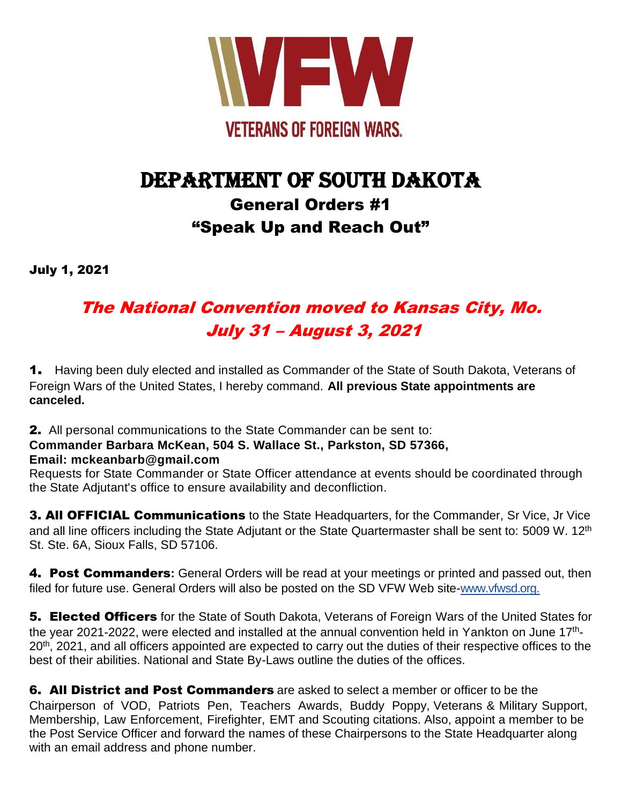

# DEPARTMENT OF SOUTH DAKOTA General Orders #1 "Speak Up and Reach Out"

July 1, 2021

# The National Convention moved to Kansas City, Mo. July 31 – August 3, 2021

1. Having been duly elected and installed as Commander of the State of South Dakota, Veterans of Foreign Wars of the United States, I hereby command. **All previous State appointments are canceled.**

2. All personal communications to the State Commander can be sent to:

**Commander Barbara McKean, 504 S. Wallace St., Parkston, SD 57366, Email: mckeanbarb@gmail.com**

Requests for State Commander or State Officer attendance at events should be coordinated through the State Adjutant's office to ensure availability and deconfliction.

**3. All OFFICIAL Communications** to the State Headquarters, for the Commander, Sr Vice, Jr Vice and all line officers including the State Adjutant or the State Quartermaster shall be sent to: 5009 W. 12<sup>th</sup> St. Ste. 6A, Sioux Falls, SD 57106.

4. Post Commanders**:** General Orders will be read at your meetings or printed and passed out, then filed for future use. General Orders will also be posted on the SD VFW Web site-www.vfwsd.org.

**5. Elected Officers** for the State of South Dakota, Veterans of Foreign Wars of the United States for the year 2021-2022, were elected and installed at the annual convention held in Yankton on June 17<sup>th</sup>-20<sup>th</sup>, 2021, and all officers appointed are expected to carry out the duties of their respective offices to the best of their abilities. National and State By-Laws outline the duties of the offices.

**6. All District and Post Commanders** are asked to select a member or officer to be the Chairperson of VOD, Patriots Pen, Teachers Awards, Buddy Poppy, Veterans & Military Support, Membership, Law Enforcement, Firefighter, EMT and Scouting citations. Also, appoint a member to be the Post Service Officer and forward the names of these Chairpersons to the State Headquarter along with an email address and phone number.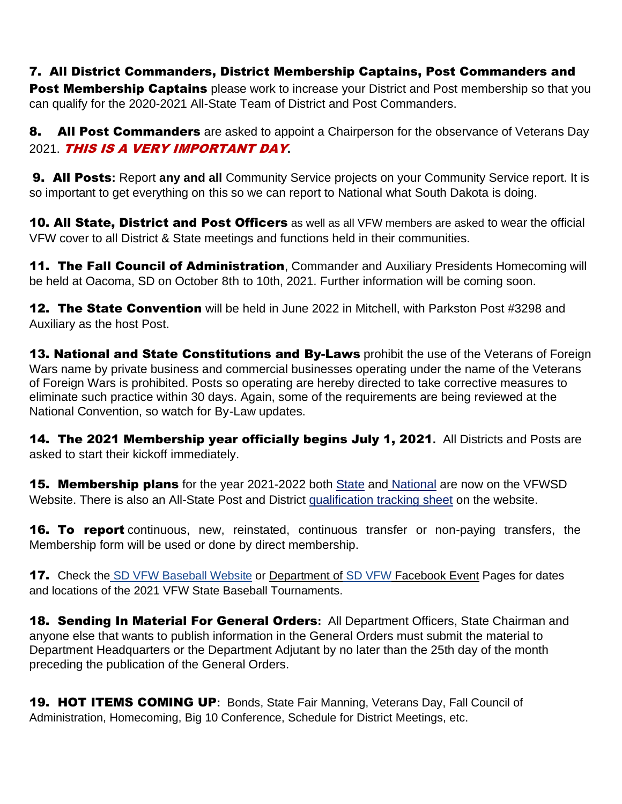#### 7. All District Commanders, District Membership Captains, Post Commanders and

Post Membership Captains please work to increase your District and Post membership so that you can qualify for the 2020-2021 All-State Team of District and Post Commanders.

8. All Post Commanders are asked to appoint a Chairperson for the observance of Veterans Day 2021. THIS IS A VERY IMPORTANT DAY**.**

9. All Posts**:** Report **any and all** Community Service projects on your Community Service report. It is so important to get everything on this so we can report to National what South Dakota is doing.

10. All State, District and Post Officers as well as all VFW members are asked to wear the official VFW cover to all District & State meetings and functions held in their communities.

**11. The Fall Council of Administration**, Commander and Auxiliary Presidents Homecoming will be held at Oacoma, SD on October 8th to 10th, 2021. Further information will be coming soon.

**12. The State Convention** will be held in June 2022 in Mitchell, with Parkston Post #3298 and Auxiliary as the host Post.

13. National and State Constitutions and By-Laws prohibit the use of the Veterans of Foreign Wars name by private business and commercial businesses operating under the name of the Veterans of Foreign Wars is prohibited. Posts so operating are hereby directed to take corrective measures to eliminate such practice within 30 days. Again, some of the requirements are being reviewed at the National Convention, so watch for By-Law updates.

14. The 2021 Membership year officially begins July 1, 2021**.** All Districts and Posts are asked to start their kickoff immediately.

**15. Membership plans** for the year 2021-2022 both State and National are now on the VFWSD Website. There is also an All-State Post and District qualification tracking sheet on the website.

**16. To report** continuous, new, reinstated, continuous transfer or non-paying transfers, the Membership form will be used or done by direct membership.

17. Check the SD VFW Baseball Website or Department of SD VFW Facebook Event Pages for dates and locations of the 2021 VFW State Baseball Tournaments.

18. Sending In Material For General Orders**:** All Department Officers, State Chairman and anyone else that wants to publish information in the General Orders must submit the material to Department Headquarters or the Department Adjutant by no later than the 25th day of the month preceding the publication of the General Orders.

19. HOT ITEMS COMING UP**:** Bonds, State Fair Manning, Veterans Day, Fall Council of Administration, Homecoming, Big 10 Conference, Schedule for District Meetings, etc.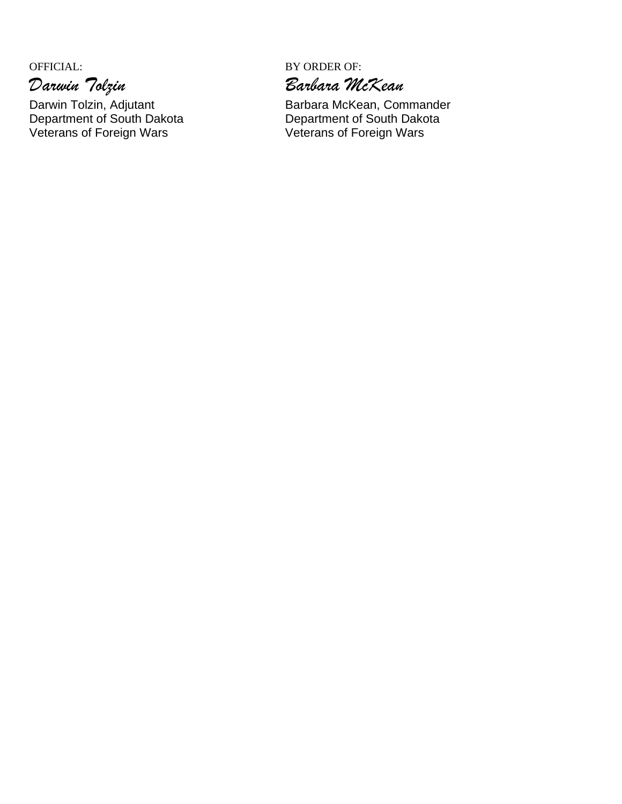# *Darwin Tolzin Barbara McKean*

Darwin Tolzin, Adjutant **Barbara McKean, Commander**<br>
Department of South Dakota **Barbara Belle Department of South Dakota** Department of South Dakota<br>
Veterans of Foreign Wars<br>
Veterans of Foreign Wars<br>
Veterans of Foreign Wars Veterans of Foreign Wars

OFFICIAL: BY ORDER OF: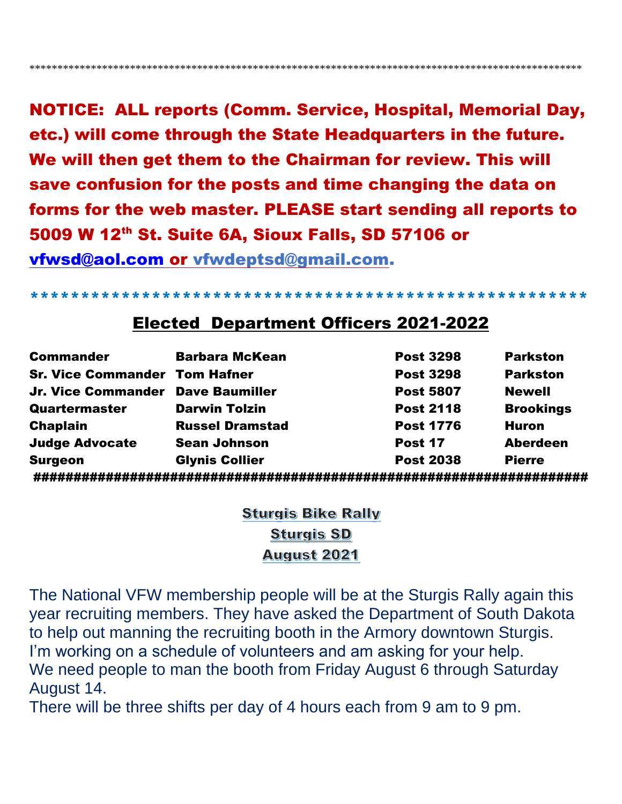**NOTICE: ALL reports (Comm. Service, Hospital, Memorial Day,** etc.) will come through the State Headquarters in the future. We will then get them to the Chairman for review. This will save confusion for the posts and time changing the data on forms for the web master. PLEASE start sending all reports to 5009 W 12th St. Suite 6A, Sioux Falls, SD 57106 or vfwsd@aol.com or vfwdeptsd@gmail.com.

### **Elected Department Officers 2021-2022**

| <b>Commander</b>                     | <b>Barbara McKean</b>  | <b>Post 3298</b> | <b>Parkston</b>  |
|--------------------------------------|------------------------|------------------|------------------|
| <b>Sr. Vice Commander Tom Hafner</b> |                        | <b>Post 3298</b> | <b>Parkston</b>  |
| Jr. Vice Commander Dave Baumiller    |                        | <b>Post 5807</b> | <b>Newell</b>    |
| Quartermaster                        | <b>Darwin Tolzin</b>   | <b>Post 2118</b> | <b>Brookings</b> |
| <b>Chaplain</b>                      | <b>Russel Dramstad</b> | <b>Post 1776</b> | <b>Huron</b>     |
| <b>Judge Advocate</b>                | <b>Sean Johnson</b>    | Post 17          | <b>Aberdeen</b>  |
| <b>Surgeon</b>                       | <b>Glynis Collier</b>  | <b>Post 2038</b> | <b>Pierre</b>    |
|                                      |                        |                  |                  |

**Sturgis Bike Rally Sturgis SD August 2021** 

The National VFW membership people will be at the Sturgis Rally again this year recruiting members. They have asked the Department of South Dakota to help out manning the recruiting booth in the Armory downtown Sturgis. I'm working on a schedule of volunteers and am asking for your help. We need people to man the booth from Friday August 6 through Saturday August 14.

There will be three shifts per day of 4 hours each from 9 am to 9 pm.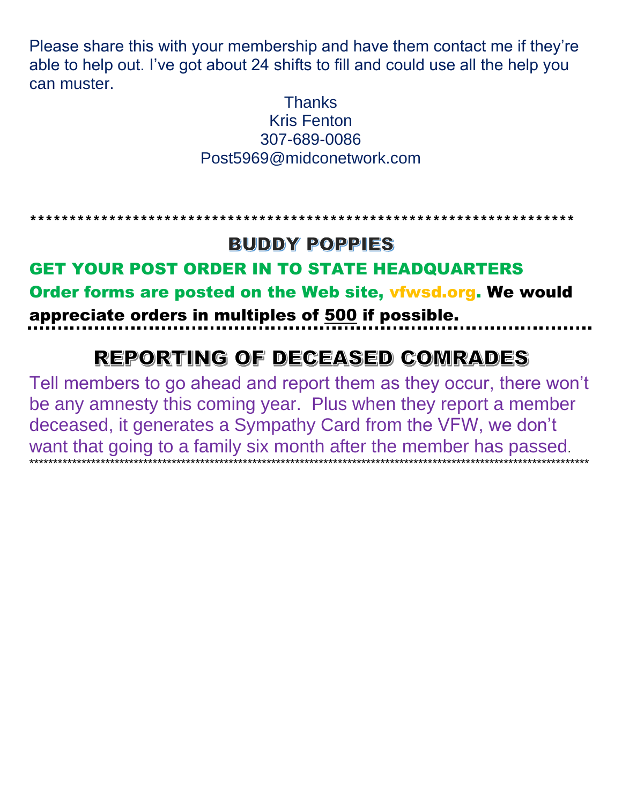Please share this with your membership and have them contact me if they're able to help out. I've got about 24 shifts to fill and could use all the help you can muster.

#### **Thanks Kris Fenton** 307-689-0086 Post5969@midconetwork.com

#### \*\*\*\*\*\*\*\*\*\*\*\*\*\*\*\*\*\*\*\*\*\*\*\*\*\*\*\*\*\*\*\*\*\* \*\*\*\*\*\*\*\*\*\*\*\*\*\*\*\*\*\*\*\*\*\*\*\*\*\*\*\*\*\*

# **BUDDY POPPIES**

# **GET YOUR POST ORDER IN TO STATE HEADQUARTERS**

Order forms are posted on the Web site, vfwsd.org. We would appreciate orders in multiples of 500 if possible.

# REPORTING OF DECEASED COMRADES

Tell members to go ahead and report them as they occur, there won't be any amnesty this coming year. Plus when they report a member deceased, it generates a Sympathy Card from the VFW, we don't want that going to a family six month after the member has passed.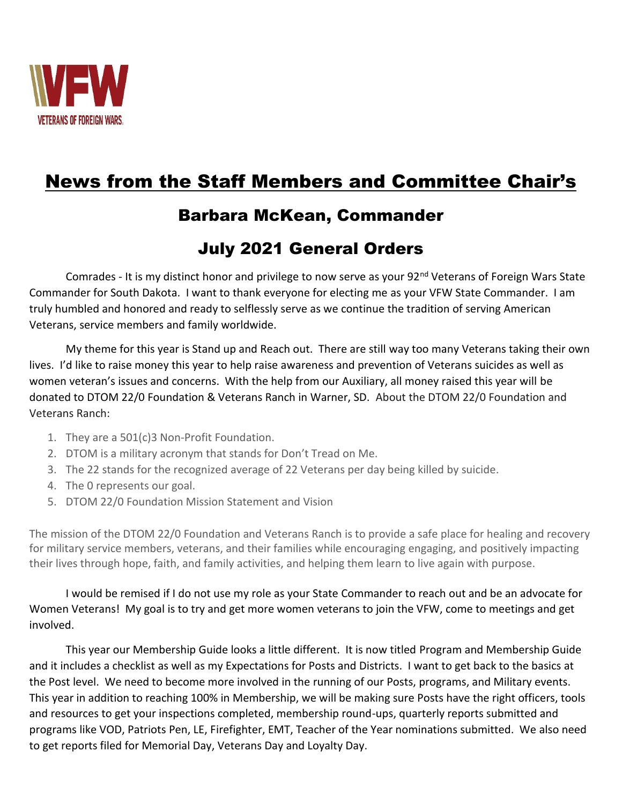

# News from the Staff Members and Committee Chair's

# Barbara McKean, Commander

# July 2021 General Orders

Comrades - It is my distinct honor and privilege to now serve as your 92<sup>nd</sup> Veterans of Foreign Wars State Commander for South Dakota. I want to thank everyone for electing me as your VFW State Commander. I am truly humbled and honored and ready to selflessly serve as we continue the tradition of serving American Veterans, service members and family worldwide.

My theme for this year is Stand up and Reach out. There are still way too many Veterans taking their own lives. I'd like to raise money this year to help raise awareness and prevention of Veterans suicides as well as women veteran's issues and concerns. With the help from our Auxiliary, all money raised this year will be donated to DTOM 22/0 Foundation & Veterans Ranch in Warner, SD. About the DTOM 22/0 Foundation and Veterans Ranch:

- 1. They are a 501(c)3 Non-Profit Foundation.
- 2. DTOM is a military acronym that stands for Don't Tread on Me.
- 3. The 22 stands for the recognized average of 22 Veterans per day being killed by suicide.
- 4. The 0 represents our goal.
- 5. DTOM 22/0 Foundation Mission Statement and Vision

The mission of the DTOM 22/0 Foundation and Veterans Ranch is to provide a safe place for healing and recovery for military service members, veterans, and their families while encouraging engaging, and positively impacting their lives through hope, faith, and family activities, and helping them learn to live again with purpose.

I would be remised if I do not use my role as your State Commander to reach out and be an advocate for Women Veterans! My goal is to try and get more women veterans to join the VFW, come to meetings and get involved.

This year our Membership Guide looks a little different. It is now titled Program and Membership Guide and it includes a checklist as well as my Expectations for Posts and Districts. I want to get back to the basics at the Post level. We need to become more involved in the running of our Posts, programs, and Military events. This year in addition to reaching 100% in Membership, we will be making sure Posts have the right officers, tools and resources to get your inspections completed, membership round-ups, quarterly reports submitted and programs like VOD, Patriots Pen, LE, Firefighter, EMT, Teacher of the Year nominations submitted. We also need to get reports filed for Memorial Day, Veterans Day and Loyalty Day.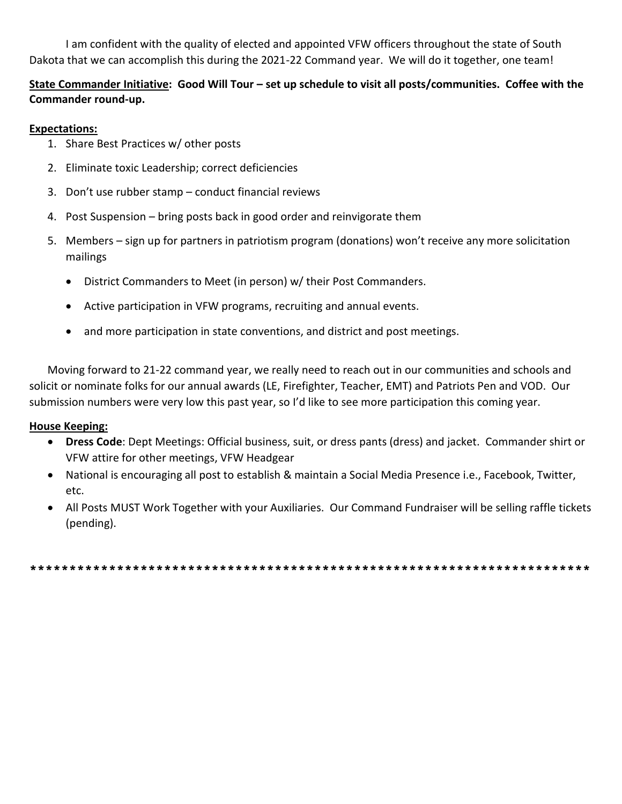I am confident with the quality of elected and appointed VFW officers throughout the state of South Dakota that we can accomplish this during the 2021-22 Command year. We will do it together, one team!

#### **State Commander Initiative: Good Will Tour – set up schedule to visit all posts/communities. Coffee with the Commander round-up.**

#### **Expectations:**

- 1. Share Best Practices w/ other posts
- 2. Eliminate toxic Leadership; correct deficiencies
- 3. Don't use rubber stamp conduct financial reviews
- 4. Post Suspension bring posts back in good order and reinvigorate them
- 5. Members sign up for partners in patriotism program (donations) won't receive any more solicitation mailings
	- District Commanders to Meet (in person) w/ their Post Commanders.
	- Active participation in VFW programs, recruiting and annual events.
	- and more participation in state conventions, and district and post meetings.

Moving forward to 21-22 command year, we really need to reach out in our communities and schools and solicit or nominate folks for our annual awards (LE, Firefighter, Teacher, EMT) and Patriots Pen and VOD. Our submission numbers were very low this past year, so I'd like to see more participation this coming year.

#### **House Keeping:**

- **Dress Code**: Dept Meetings: Official business, suit, or dress pants (dress) and jacket. Commander shirt or VFW attire for other meetings, VFW Headgear
- National is encouraging all post to establish & maintain a Social Media Presence i.e., Facebook, Twitter, etc.
- All Posts MUST Work Together with your Auxiliaries. Our Command Fundraiser will be selling raffle tickets (pending).

\*\*\*\*\*\*\*\*\*\*\*\*\*\*\*\*\*\*\*\*\*\*\*\*\*\*\*\*\*\*\*\*\*\*\*\*\*\*\*\*\*\*\*\*\*\*\*\*\*\*\*\*\*\*\*\*\*\*\*\*\*\*\*\*\*\*\*\*\*\*\*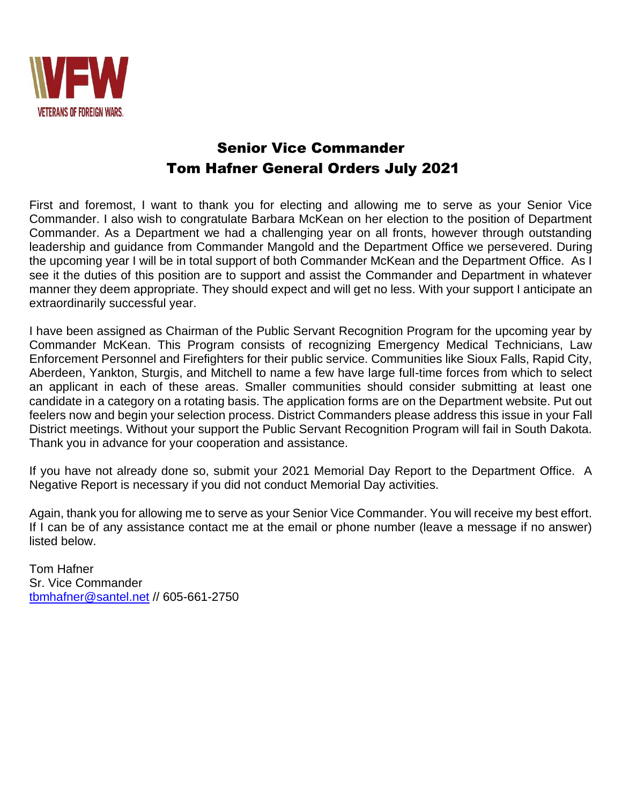

### Senior Vice Commander Tom Hafner General Orders July 2021

First and foremost, I want to thank you for electing and allowing me to serve as your Senior Vice Commander. I also wish to congratulate Barbara McKean on her election to the position of Department Commander. As a Department we had a challenging year on all fronts, however through outstanding leadership and guidance from Commander Mangold and the Department Office we persevered. During the upcoming year I will be in total support of both Commander McKean and the Department Office. As I see it the duties of this position are to support and assist the Commander and Department in whatever manner they deem appropriate. They should expect and will get no less. With your support I anticipate an extraordinarily successful year.

I have been assigned as Chairman of the Public Servant Recognition Program for the upcoming year by Commander McKean. This Program consists of recognizing Emergency Medical Technicians, Law Enforcement Personnel and Firefighters for their public service. Communities like Sioux Falls, Rapid City, Aberdeen, Yankton, Sturgis, and Mitchell to name a few have large full-time forces from which to select an applicant in each of these areas. Smaller communities should consider submitting at least one candidate in a category on a rotating basis. The application forms are on the Department website. Put out feelers now and begin your selection process. District Commanders please address this issue in your Fall District meetings. Without your support the Public Servant Recognition Program will fail in South Dakota. Thank you in advance for your cooperation and assistance.

If you have not already done so, submit your 2021 Memorial Day Report to the Department Office. A Negative Report is necessary if you did not conduct Memorial Day activities.

Again, thank you for allowing me to serve as your Senior Vice Commander. You will receive my best effort. If I can be of any assistance contact me at the email or phone number (leave a message if no answer) listed below.

Tom Hafner Sr. Vice Commander [tbmhafner@santel.net](mailto:tbmhafner@santel.net) // 605-661-2750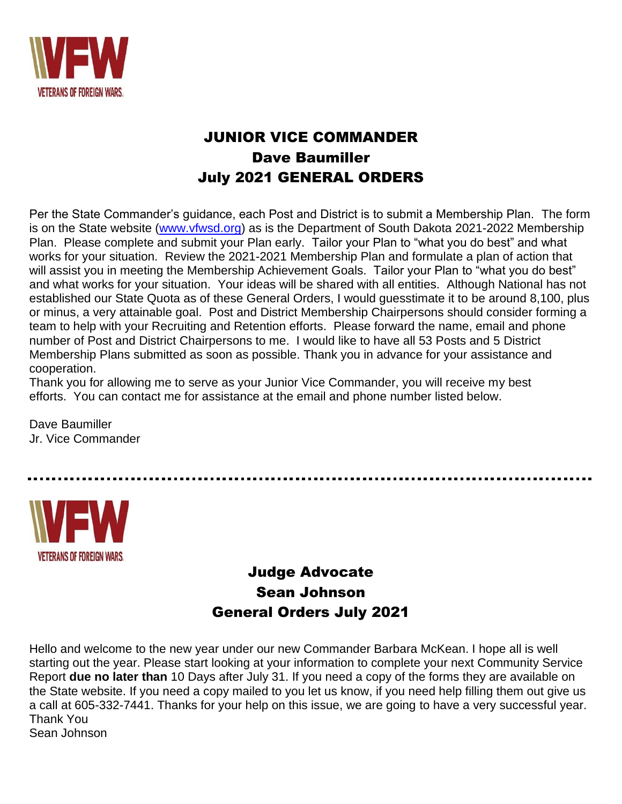

## JUNIOR VICE COMMANDER Dave Baumiller July 2021 GENERAL ORDERS

Per the State Commander's guidance, each Post and District is to submit a Membership Plan. The form is on the State website [\(www.vfwsd.org\)](http://www.vfwsd.org/) as is the Department of South Dakota 2021-2022 Membership Plan. Please complete and submit your Plan early. Tailor your Plan to "what you do best" and what works for your situation. Review the 2021-2021 Membership Plan and formulate a plan of action that will assist you in meeting the Membership Achievement Goals. Tailor your Plan to "what you do best" and what works for your situation. Your ideas will be shared with all entities. Although National has not established our State Quota as of these General Orders, I would guesstimate it to be around 8,100, plus or minus, a very attainable goal. Post and District Membership Chairpersons should consider forming a team to help with your Recruiting and Retention efforts. Please forward the name, email and phone number of Post and District Chairpersons to me. I would like to have all 53 Posts and 5 District Membership Plans submitted as soon as possible. Thank you in advance for your assistance and cooperation.

Thank you for allowing me to serve as your Junior Vice Commander, you will receive my best efforts. You can contact me for assistance at the email and phone number listed below.

Dave Baumiller Jr. Vice Commander

**VETERANS OF FOREIGN WARS.** 

### Judge Advocate Sean Johnson General Orders July 2021

Hello and welcome to the new year under our new Commander Barbara McKean. I hope all is well starting out the year. Please start looking at your information to complete your next Community Service Report **due no later than** 10 Days after July 31. If you need a copy of the forms they are available on the State website. If you need a copy mailed to you let us know, if you need help filling them out give us a call at 605-332-7441. Thanks for your help on this issue, we are going to have a very successful year. Thank You Sean Johnson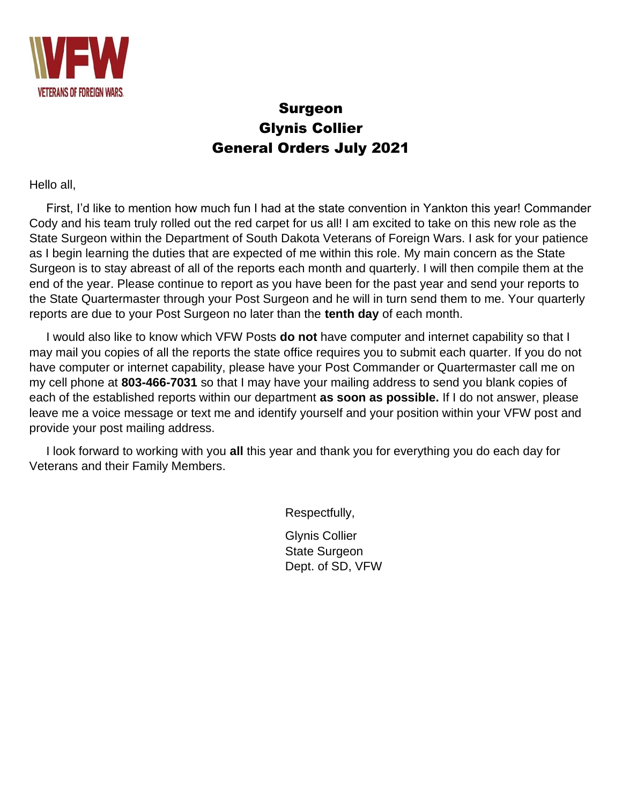

### Surgeon Glynis Collier General Orders July 2021

Hello all,

 First, I'd like to mention how much fun I had at the state convention in Yankton this year! Commander Cody and his team truly rolled out the red carpet for us all! I am excited to take on this new role as the State Surgeon within the Department of South Dakota Veterans of Foreign Wars. I ask for your patience as I begin learning the duties that are expected of me within this role. My main concern as the State Surgeon is to stay abreast of all of the reports each month and quarterly. I will then compile them at the end of the year. Please continue to report as you have been for the past year and send your reports to the State Quartermaster through your Post Surgeon and he will in turn send them to me. Your quarterly reports are due to your Post Surgeon no later than the **tenth day** of each month.

 I would also like to know which VFW Posts **do not** have computer and internet capability so that I may mail you copies of all the reports the state office requires you to submit each quarter. If you do not have computer or internet capability, please have your Post Commander or Quartermaster call me on my cell phone at **803-466-7031** so that I may have your mailing address to send you blank copies of each of the established reports within our department **as soon as possible.** If I do not answer, please leave me a voice message or text me and identify yourself and your position within your VFW post and provide your post mailing address.

 I look forward to working with you **all** this year and thank you for everything you do each day for Veterans and their Family Members.

Respectfully,

Glynis Collier State Surgeon Dept. of SD, VFW